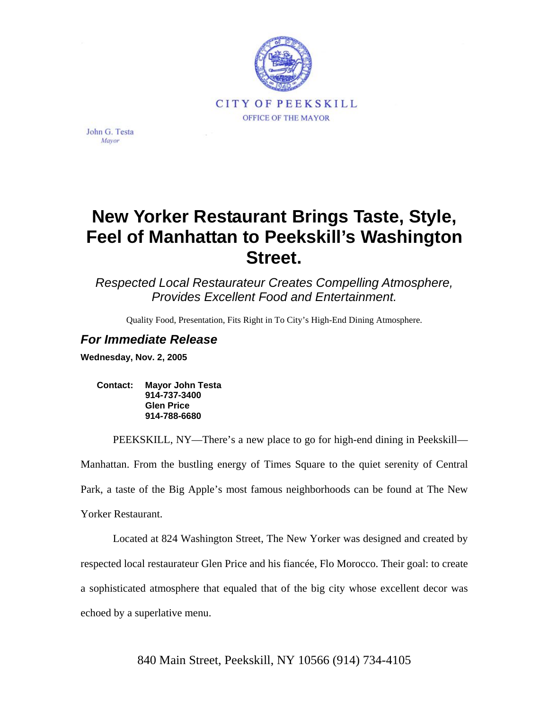

John G. Testa Mayor

## **New Yorker Restaurant Brings Taste, Style, Feel of Manhattan to Peekskill's Washington Street.**

*Respected Local Restaurateur Creates Compelling Atmosphere, Provides Excellent Food and Entertainment.* 

Quality Food, Presentation, Fits Right in To City's High-End Dining Atmosphere.

## *For Immediate Release*

**Wednesday, Nov. 2, 2005** 

**Contact: Mayor John Testa 914-737-3400 Glen Price 914-788-6680** 

PEEKSKILL, NY—There's a new place to go for high-end dining in Peekskill— Manhattan. From the bustling energy of Times Square to the quiet serenity of Central Park, a taste of the Big Apple's most famous neighborhoods can be found at The New Yorker Restaurant.

Located at 824 Washington Street, The New Yorker was designed and created by respected local restaurateur Glen Price and his fiancée, Flo Morocco. Their goal: to create a sophisticated atmosphere that equaled that of the big city whose excellent decor was echoed by a superlative menu.

840 Main Street, Peekskill, NY 10566 (914) 734-4105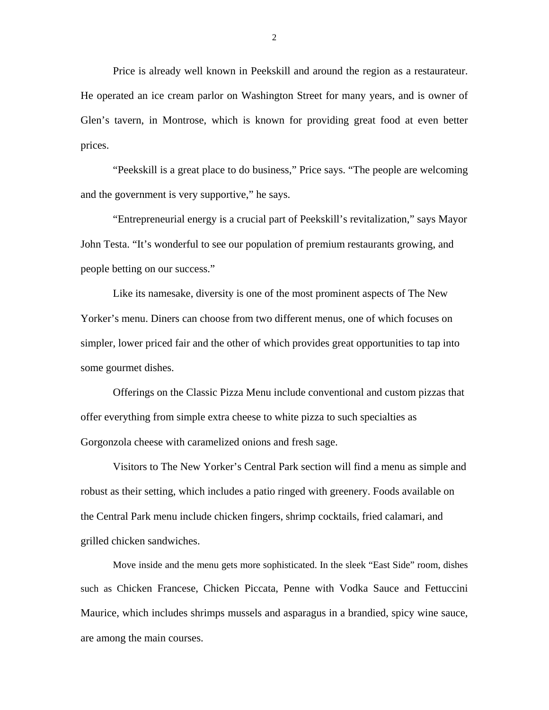Price is already well known in Peekskill and around the region as a restaurateur. He operated an ice cream parlor on Washington Street for many years, and is owner of Glen's tavern, in Montrose, which is known for providing great food at even better prices.

"Peekskill is a great place to do business," Price says. "The people are welcoming and the government is very supportive," he says.

"Entrepreneurial energy is a crucial part of Peekskill's revitalization," says Mayor John Testa. "It's wonderful to see our population of premium restaurants growing, and people betting on our success."

Like its namesake, diversity is one of the most prominent aspects of The New Yorker's menu. Diners can choose from two different menus, one of which focuses on simpler, lower priced fair and the other of which provides great opportunities to tap into some gourmet dishes.

Offerings on the Classic Pizza Menu include conventional and custom pizzas that offer everything from simple extra cheese to white pizza to such specialties as Gorgonzola cheese with caramelized onions and fresh sage.

Visitors to The New Yorker's Central Park section will find a menu as simple and robust as their setting, which includes a patio ringed with greenery. Foods available on the Central Park menu include chicken fingers, shrimp cocktails, fried calamari, and grilled chicken sandwiches.

Move inside and the menu gets more sophisticated. In the sleek "East Side" room, dishes such as Chicken Francese, Chicken Piccata, Penne with Vodka Sauce and Fettuccini Maurice, which includes shrimps mussels and asparagus in a brandied, spicy wine sauce, are among the main courses.